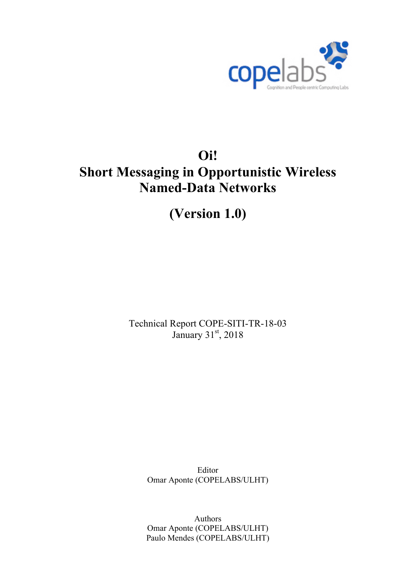

# **Oi! Short Messaging in Opportunistic Wireless Named-Data Networks**

**(Version 1.0)**

Technical Report COPE-SITI-TR-18-03 January 31st, 2018

> Editor Omar Aponte (COPELABS/ULHT)

> Authors Omar Aponte (COPELABS/ULHT) Paulo Mendes (COPELABS/ULHT)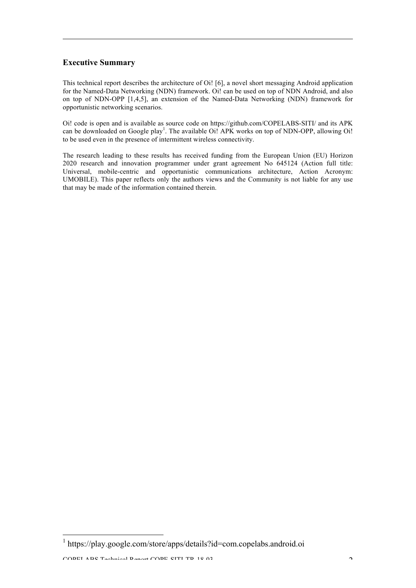#### **Executive Summary**

This technical report describes the architecture of Oi! [6], a novel short messaging Android application for the Named-Data Networking (NDN) framework. Oi! can be used on top of NDN Android, and also on top of NDN-OPP [1,4,5], an extension of the Named-Data Networking (NDN) framework for opportunistic networking scenarios.

Oi! code is open and is available as source code on https://github.com/COPELABS-SITI/ and its APK can be downloaded on Google play<sup>1</sup>. The available Oi! APK works on top of NDN-OPP, allowing Oi! to be used even in the presence of intermittent wireless connectivity.

The research leading to these results has received funding from the European Union (EU) Horizon 2020 research and innovation programmer under grant agreement No 645124 (Action full title: Universal, mobile-centric and opportunistic communications architecture, Action Acronym: UMOBILE). This paper reflects only the authors views and the Community is not liable for any use that may be made of the information contained therein.

<sup>&</sup>lt;sup>1</sup> https://play.google.com/store/apps/details?id=com.copelabs.android.oi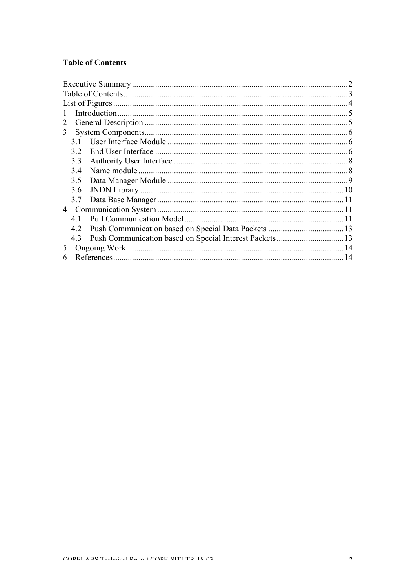### **Table of Contents**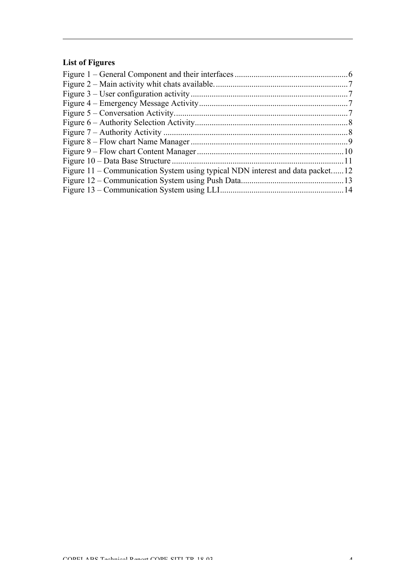## **List of Figures**

| Figure 11 – Communication System using typical NDN interest and data packet12 |  |
|-------------------------------------------------------------------------------|--|
|                                                                               |  |
|                                                                               |  |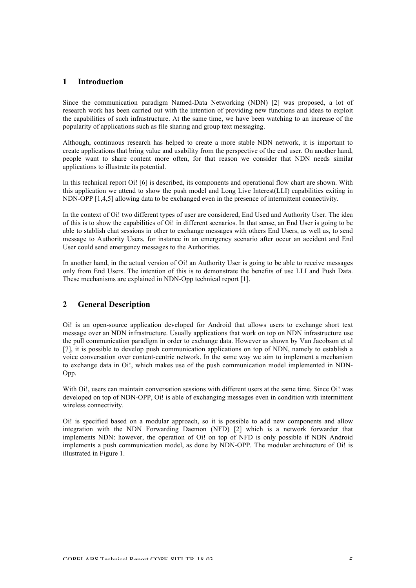#### **1 Introduction**

Since the communication paradigm Named-Data Networking (NDN) [2] was proposed, a lot of research work has been carried out with the intention of providing new functions and ideas to exploit the capabilities of such infrastructure. At the same time, we have been watching to an increase of the popularity of applications such as file sharing and group text messaging.

Although, continuous research has helped to create a more stable NDN network, it is important to create applications that bring value and usability from the perspective of the end user. On another hand, people want to share content more often, for that reason we consider that NDN needs similar applications to illustrate its potential.

In this technical report Oi! [6] is described, its components and operational flow chart are shown. With this application we attend to show the push model and Long Live Interest(LLI) capabilities exiting in NDN-OPP [1,4,5] allowing data to be exchanged even in the presence of intermittent connectivity.

In the context of Oi! two different types of user are considered, End Used and Authority User. The idea of this is to show the capabilities of Oi! in different scenarios. In that sense, an End User is going to be able to stablish chat sessions in other to exchange messages with others End Users, as well as, to send message to Authority Users, for instance in an emergency scenario after occur an accident and End User could send emergency messages to the Authorities.

In another hand, in the actual version of Oi! an Authority User is going to be able to receive messages only from End Users. The intention of this is to demonstrate the benefits of use LLI and Push Data. These mechanisms are explained in NDN-Opp technical report [1].

#### **2 General Description**

Oi! is an open-source application developed for Android that allows users to exchange short text message over an NDN infrastructure. Usually applications that work on top on NDN infrastructure use the pull communication paradigm in order to exchange data. However as shown by Van Jacobson et al [7], it is possible to develop push communication applications on top of NDN, namely to establish a voice conversation over content-centric network. In the same way we aim to implement a mechanism to exchange data in Oi!, which makes use of the push communication model implemented in NDN-Opp.

With Oi!, users can maintain conversation sessions with different users at the same time. Since Oi! was developed on top of NDN-OPP, Oi! is able of exchanging messages even in condition with intermittent wireless connectivity.

Oi! is specified based on a modular approach, so it is possible to add new components and allow integration with the NDN Forwarding Daemon (NFD) [2] which is a network forwarder that implements NDN: however, the operation of Oi! on top of NFD is only possible if NDN Android implements a push communication model, as done by NDN-OPP. The modular architecture of Oi! is illustrated in Figure 1.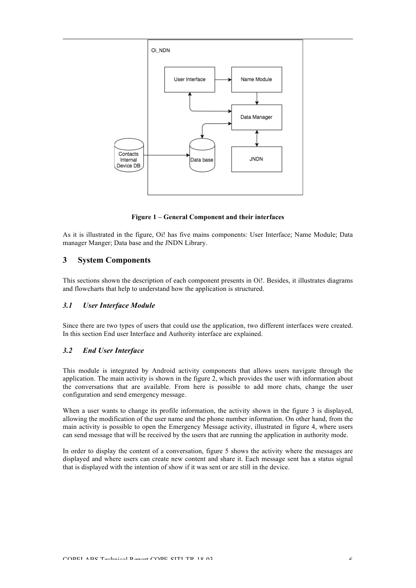

**Figure 1 – General Component and their interfaces**

As it is illustrated in the figure, Oi! has five mains components: User Interface; Name Module; Data manager Manger; Data base and the JNDN Library.

#### **3 System Components**

This sections shown the description of each component presents in Oi!. Besides, it illustrates diagrams and flowcharts that help to understand how the application is structured.

#### *3.1 User Interface Module*

Since there are two types of users that could use the application, two different interfaces were created. In this section End user Interface and Authority interface are explained.

#### *3.2 End User Interface*

This module is integrated by Android activity components that allows users navigate through the application. The main activity is shown in the figure 2, which provides the user with information about the conversations that are available. From here is possible to add more chats, change the user configuration and send emergency message.

When a user wants to change its profile information, the activity shown in the figure 3 is displayed, allowing the modification of the user name and the phone number information. On other hand, from the main activity is possible to open the Emergency Message activity, illustrated in figure 4, where users can send message that will be received by the users that are running the application in authority mode.

In order to display the content of a conversation, figure 5 shows the activity where the messages are displayed and where users can create new content and share it. Each message sent has a status signal that is displayed with the intention of show if it was sent or are still in the device.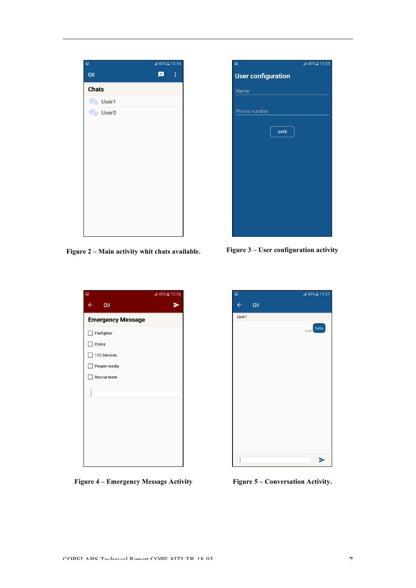| $\blacksquare$  | all 45% <b>a</b> 13:56 |
|-----------------|------------------------|
| Oi!             | $\sim$ 1<br>国          |
| <b>Chats</b>    |                        |
| <b>To</b> User1 |                        |
| <b>Co</b> User3 |                        |
|                 |                        |
|                 |                        |
|                 |                        |
|                 |                        |
|                 |                        |
|                 |                        |
|                 |                        |
|                 |                        |
|                 |                        |
|                 |                        |
|                 |                        |

**Figure 2 – Main activity whit chats available. Figure 3 – User configuration activity**

| $\blacksquare$           | all 45% <b>a</b> 13:56 |
|--------------------------|------------------------|
| $\leftarrow$<br>Oi!      | -                      |
| <b>Emergency Message</b> |                        |
| Firefighter              |                        |
| Police                   |                        |
| 112 Services             |                        |
| People nearby            |                        |
| Rescue team              |                        |
|                          |                        |
|                          |                        |
|                          |                        |
|                          |                        |
|                          |                        |
|                          |                        |
|                          |                        |
|                          |                        |

**Figure 4 – Emergency Message Activity Figure 5 – Conversation Activity.**

| $\overline{a}$            | all 45% <b>2</b> 13:55 |
|---------------------------|------------------------|
| <b>User configuration</b> |                        |
| <b>Name</b>               |                        |
|                           |                        |
| Phone number              |                        |
|                           |                        |
| <b>SAVE</b>               |                        |
|                           |                        |
|                           |                        |
|                           |                        |
|                           |                        |
|                           |                        |
|                           |                        |
|                           |                        |
|                           |                        |
|                           |                        |

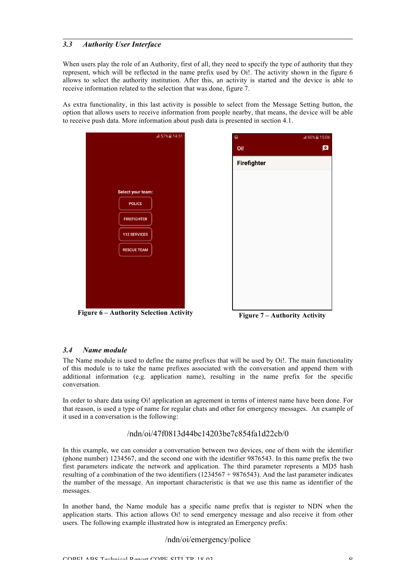#### *3.3 Authority User Interface*

When users play the role of an Authority, first of all, they need to specify the type of authority that they represent, which will be reflected in the name prefix used by Oi!. The activity shown in the figure 6 allows to select the authority institution. After this, an activity is started and the device is able to receive information related to the selection that was done, figure 7.

As extra functionality, in this last activity is possible to select from the Message Setting button, the option that allows users to receive information from people nearby, that means, the device will be able to receive push data. More information about push data is presented in section 4.1.







#### *3.4 Name module*

The Name module is used to define the name prefixes that will be used by Oi!. The main functionality of this module is to take the name prefixes associated with the conversation and append them with additional information (e.g. application name), resulting in the name prefix for the specific conversation.

In order to share data using Oi! application an agreement in terms of interest name have been done. For that reason, is used a type of name for regular chats and other for emergency messages. An example of it used in a conversation is the following:

#### /ndn/oi/47f0813d44bc14203be7c854fa1d22cb/0

In this example, we can consider a conversation between two devices, one of them with the identifier (phone number) 1234567, and the second one with the identifier 9876543. In this name prefix the two first parameters indicate the network and application. The third parameter represents a MD5 hash resulting of a combination of the two identifiers (1234567 + 9876543). And the last parameter indicates the number of the message. An important characteristic is that we use this name as identifier of the messages.

In another hand, the Name module has a specific name prefix that is register to NDN when the application starts. This action allows Oi! to send emergency message and also receive it from other users. The following example illustrated how is integrated an Emergency prefix:

#### /ndn/oi/emergency/police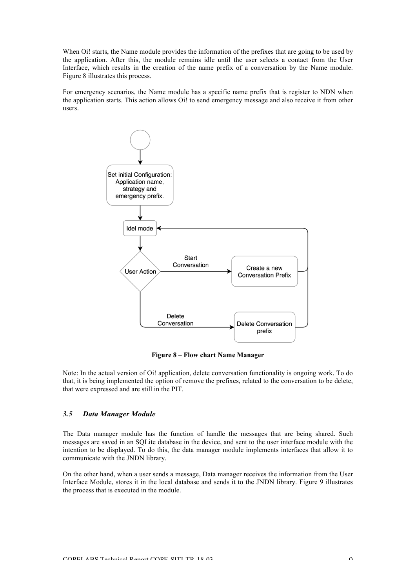When Oi! starts, the Name module provides the information of the prefixes that are going to be used by the application. After this, the module remains idle until the user selects a contact from the User Interface, which results in the creation of the name prefix of a conversation by the Name module. Figure 8 illustrates this process.

For emergency scenarios, the Name module has a specific name prefix that is register to NDN when the application starts. This action allows Oi! to send emergency message and also receive it from other users.



**Figure 8 – Flow chart Name Manager**

Note: In the actual version of Oi! application, delete conversation functionality is ongoing work. To do that, it is being implemented the option of remove the prefixes, related to the conversation to be delete, that were expressed and are still in the PIT.

#### *3.5 Data Manager Module*

The Data manager module has the function of handle the messages that are being shared. Such messages are saved in an SQLite database in the device, and sent to the user interface module with the intention to be displayed. To do this, the data manager module implements interfaces that allow it to communicate with the JNDN library.

On the other hand, when a user sends a message, Data manager receives the information from the User Interface Module, stores it in the local database and sends it to the JNDN library. Figure 9 illustrates the process that is executed in the module.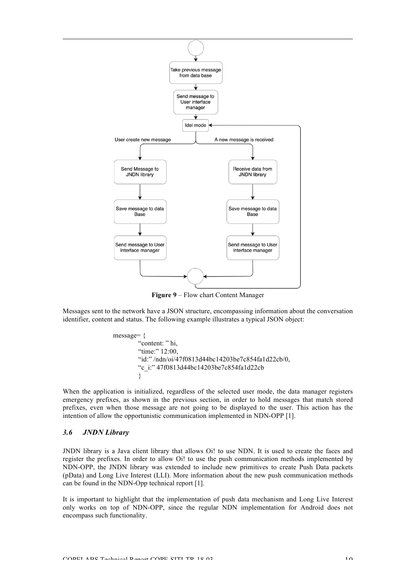

**Figure 9** – Flow chart Content Manager

Messages sent to the network have a JSON structure, encompassing information about the conversation identifier, content and status. The following example illustrates a typical JSON object:

message= { "content: " hi, "time:" 12:00, "id:" /ndn/oi/47f0813d44bc14203be7c854fa1d22cb/0, "c\_i:" 47f0813d44bc14203be7c854fa1d22cb }

When the application is initialized, regardless of the selected user mode, the data manager registers emergency prefixes, as shown in the previous section, in order to hold messages that match stored prefixes, even when those message are not going to be displayed to the user. This action has the intention of allow the opportunistic communication implemented in NDN-OPP [1].

#### *3.6 JNDN Library*

JNDN library is a Java client library that allows Oi! to use NDN. It is used to create the faces and register the prefixes. In order to allow Oi! to use the push communication methods implemented by NDN-OPP, the JNDN library was extended to include new primitives to create Push Data packets (pData) and Long Live Interest (LLI). More information about the new push communication methods can be found in the NDN-Opp technical report [1].

It is important to highlight that the implementation of push data mechanism and Long Live Interest only works on top of NDN-OPP, since the regular NDN implementation for Android does not encompass such functionality.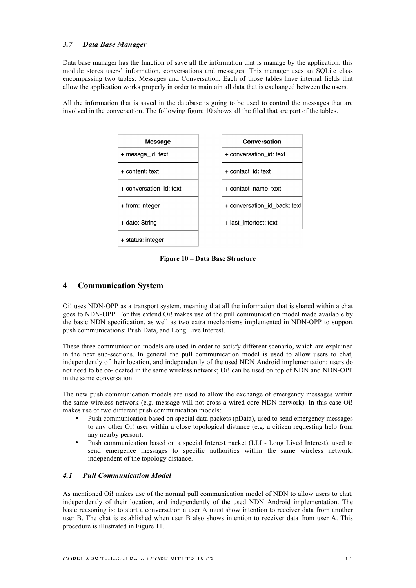#### *3.7 Data Base Manager*

Data base manager has the function of save all the information that is manage by the application: this module stores users' information, conversations and messages. This manager uses an SQLite class encompassing two tables: Messages and Conversation. Each of those tables have internal fields that allow the application works properly in order to maintain all data that is exchanged between the users.

All the information that is saved in the database is going to be used to control the messages that are involved in the conversation. The following figure 10 shows all the filed that are part of the tables.



**Figure 10 – Data Base Structure**

#### **4 Communication System**

Oi! uses NDN-OPP as a transport system, meaning that all the information that is shared within a chat goes to NDN-OPP. For this extend Oi! makes use of the pull communication model made available by the basic NDN specification, as well as two extra mechanisms implemented in NDN-OPP to support push communications: Push Data, and Long Live Interest.

These three communication models are used in order to satisfy different scenario, which are explained in the next sub-sections. In general the pull communication model is used to allow users to chat, independently of their location, and independently of the used NDN Android implementation: users do not need to be co-located in the same wireless network; Oi! can be used on top of NDN and NDN-OPP in the same conversation.

The new push communication models are used to allow the exchange of emergency messages within the same wireless network (e.g. message will not cross a wired core NDN network). In this case Oi! makes use of two different push communication models:

- Push communication based on special data packets (pData), used to send emergency messages to any other Oi! user within a close topological distance (e.g. a citizen requesting help from any nearby person).
- Push communication based on a special Interest packet (LLI Long Lived Interest), used to send emergence messages to specific authorities within the same wireless network, independent of the topology distance.

#### *4.1 Pull Communication Model*

As mentioned Oi! makes use of the normal pull communication model of NDN to allow users to chat, independently of their location, and independently of the used NDN Android implementation. The basic reasoning is: to start a conversation a user A must show intention to receiver data from another user B. The chat is established when user B also shows intention to receiver data from user A. This procedure is illustrated in Figure 11.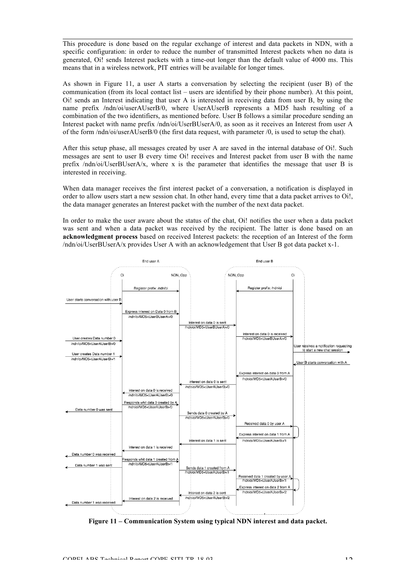This procedure is done based on the regular exchange of interest and data packets in NDN, with a specific configuration: in order to reduce the number of transmitted Interest packets when no data is generated, Oi! sends Interest packets with a time-out longer than the default value of 4000 ms. This means that in a wireless network, PIT entries will be available for longer times.

As shown in Figure 11, a user A starts a conversation by selecting the recipient (user B) of the communication (from its local contact list – users are identified by their phone number). At this point, Oi! sends an Interest indicating that user A is interested in receiving data from user B, by using the name prefix **/**ndn/oi/userAUserB/0, where UserAUserB represents a MD5 hash resulting of a combination of the two identifiers, as mentioned before. User B follows a similar procedure sending an Interest packet with name prefix /ndn/oi/UserBUserA/0, as soon as it receives an Interest from user A of the form /ndn/oi/userAUserB/0 (the first data request, with parameter /0, is used to setup the chat).

After this setup phase, all messages created by user A are saved in the internal database of Oi!. Such messages are sent to user B every time Oi! receives and Interest packet from user B with the name prefix /ndn/oi/UserBUserA/x, where x is the parameter that identifies the message that user B is interested in receiving.

When data manager receives the first interest packet of a conversation, a notification is displayed in order to allow users start a new session chat. In other hand, every time that a data packet arrives to Oi!, the data manager generates an Interest packet with the number of the next data packet.

In order to make the user aware about the status of the chat, Oi! notifies the user when a data packet was sent and when a data packet was received by the recipient. The latter is done based on an **acknowledgment process** based on received Interest packets: the reception of an Interest of the form /ndn/oi/UserBUserA/x provides User A with an acknowledgement that User B got data packet x-1.



**Figure 11 – Communication System using typical NDN interest and data packet.**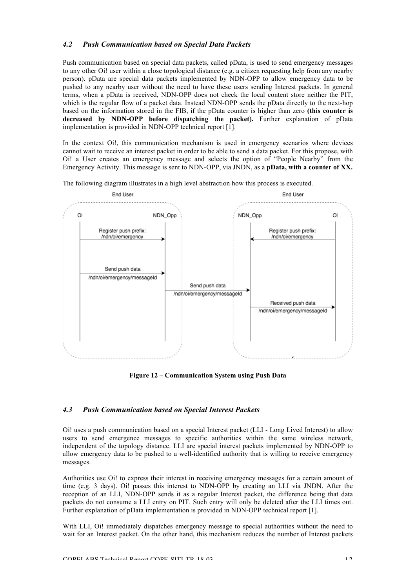#### *4.2 Push Communication based on Special Data Packets*

Push communication based on special data packets, called pData, is used to send emergency messages to any other Oi! user within a close topological distance (e.g. a citizen requesting help from any nearby person). pData are special data packets implemented by NDN-OPP to allow emergency data to be pushed to any nearby user without the need to have these users sending Interest packets. In general terms, when a pData is received, NDN-OPP does not check the local content store neither the PIT, which is the regular flow of a packet data. Instead NDN-OPP sends the pData directly to the next-hop based on the information stored in the FIB, if the pData counter is higher than zero **(this counter is decreased by NDN-OPP before dispatching the packet).** Further explanation of pData implementation is provided in NDN-OPP technical report [1].

In the context Oi!, this communication mechanism is used in emergency scenarios where devices cannot wait to receive an interest packet in order to be able to send a data packet. For this propose, with Oi! a User creates an emergency message and selects the option of "People Nearby" from the Emergency Activity. This message is sent to NDN-OPP, via JNDN, as a **pData, with a counter of XX.**

The following diagram illustrates in a high level abstraction how this process is executed.



**Figure 12 – Communication System using Push Data**

#### *4.3 Push Communication based on Special Interest Packets*

Oi! uses a push communication based on a special Interest packet (LLI - Long Lived Interest) to allow users to send emergence messages to specific authorities within the same wireless network, independent of the topology distance. LLI are special interest packets implemented by NDN-OPP to allow emergency data to be pushed to a well-identified authority that is willing to receive emergency messages.

Authorities use Oi! to express their interest in receiving emergency messages for a certain amount of time (e.g. 3 days). Oi! passes this interest to NDN-OPP by creating an LLI via JNDN. After the reception of an LLI, NDN-OPP sends it as a regular Interest packet, the difference being that data packets do not consume a LLI entry on PIT. Such entry will only be deleted after the LLI times out. Further explanation of pData implementation is provided in NDN-OPP technical report [1].

With LLI, Oi! immediately dispatches emergency message to special authorities without the need to wait for an Interest packet. On the other hand, this mechanism reduces the number of Interest packets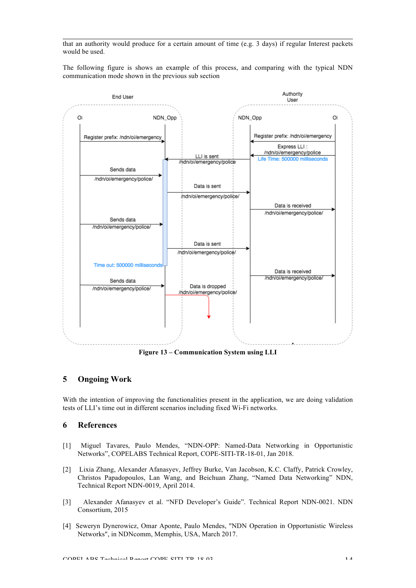that an authority would produce for a certain amount of time (e.g. 3 days) if regular Interest packets would be used.

The following figure is shows an example of this process, and comparing with the typical NDN communication mode shown in the previous sub section



#### **5 Ongoing Work**

With the intention of improving the functionalities present in the application, we are doing validation tests of LLI's time out in different scenarios including fixed Wi-Fi networks.

#### **6 References**

- [1] Miguel Tavares, Paulo Mendes, "NDN-OPP: Named-Data Networking in Opportunistic Networks", COPELABS Technical Report, COPE-SITI-TR-18-01, Jan 2018.
- [2] Lixia Zhang, Alexander Afanasyev, Jeffrey Burke, Van Jacobson, K.C. Claffy, Patrick Crowley, Christos Papadopoulos, Lan Wang, and Beichuan Zhang, "Named Data Networking" NDN, Technical Report NDN-0019, April 2014.
- [3] Alexander Afanasyev et al. "NFD Developer's Guide". Technical Report NDN-0021. NDN Consortium, 2015
- [4] Seweryn Dynerowicz, Omar Aponte, Paulo Mendes, "NDN Operation in Opportunistic Wireless Networks", in NDNcomm, Memphis, USA, March 2017.